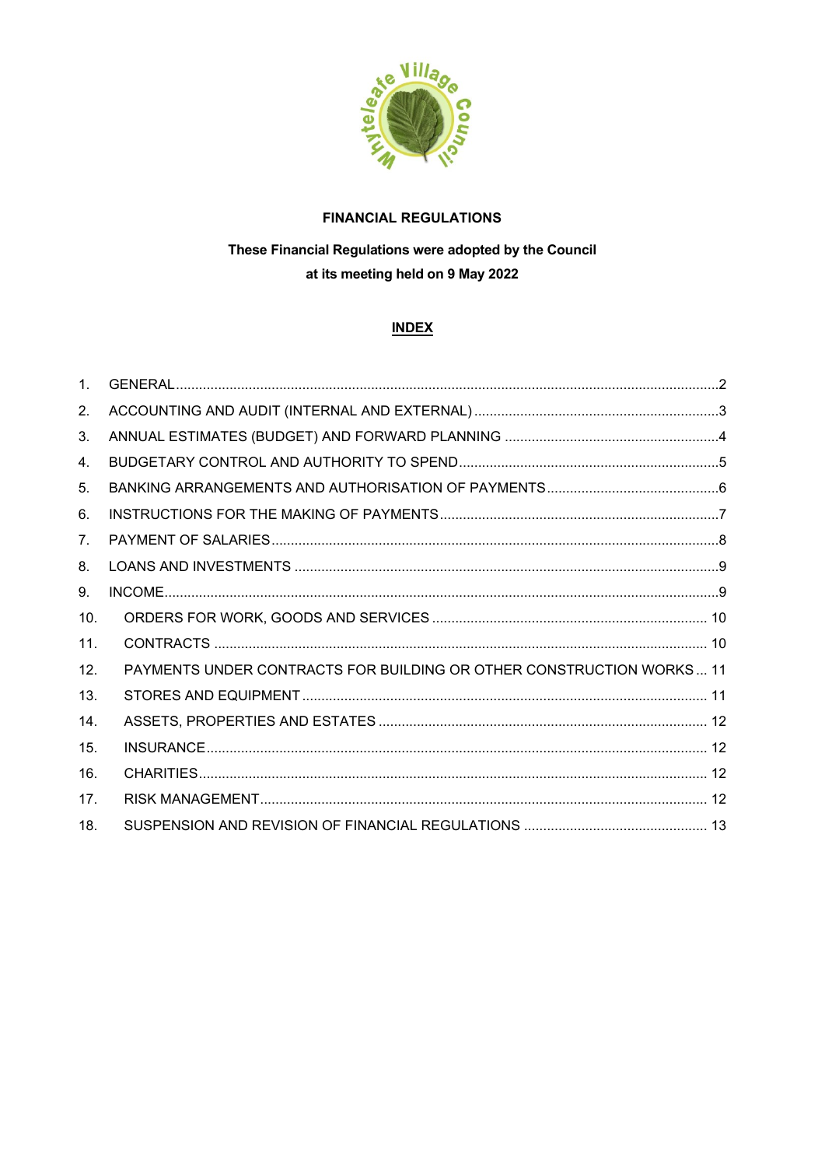

# **FINANCIAL REGULATIONS**

# These Financial Regulations were adopted by the Council at its meeting held on 9 May 2022

# **INDEX**

| $1_{\cdot}$    |                                                                      |  |
|----------------|----------------------------------------------------------------------|--|
| 2.             |                                                                      |  |
| 3.             |                                                                      |  |
| 4.             |                                                                      |  |
| 5.             |                                                                      |  |
| 6.             |                                                                      |  |
| 7 <sub>1</sub> |                                                                      |  |
| 8.             |                                                                      |  |
| 9.             |                                                                      |  |
| 10.            |                                                                      |  |
| 11.            |                                                                      |  |
| 12.            | PAYMENTS UNDER CONTRACTS FOR BUILDING OR OTHER CONSTRUCTION WORKS 11 |  |
| 13.            |                                                                      |  |
| 14.            |                                                                      |  |
| 15.            |                                                                      |  |
| 16.            |                                                                      |  |
| 17.            |                                                                      |  |
| 18.            |                                                                      |  |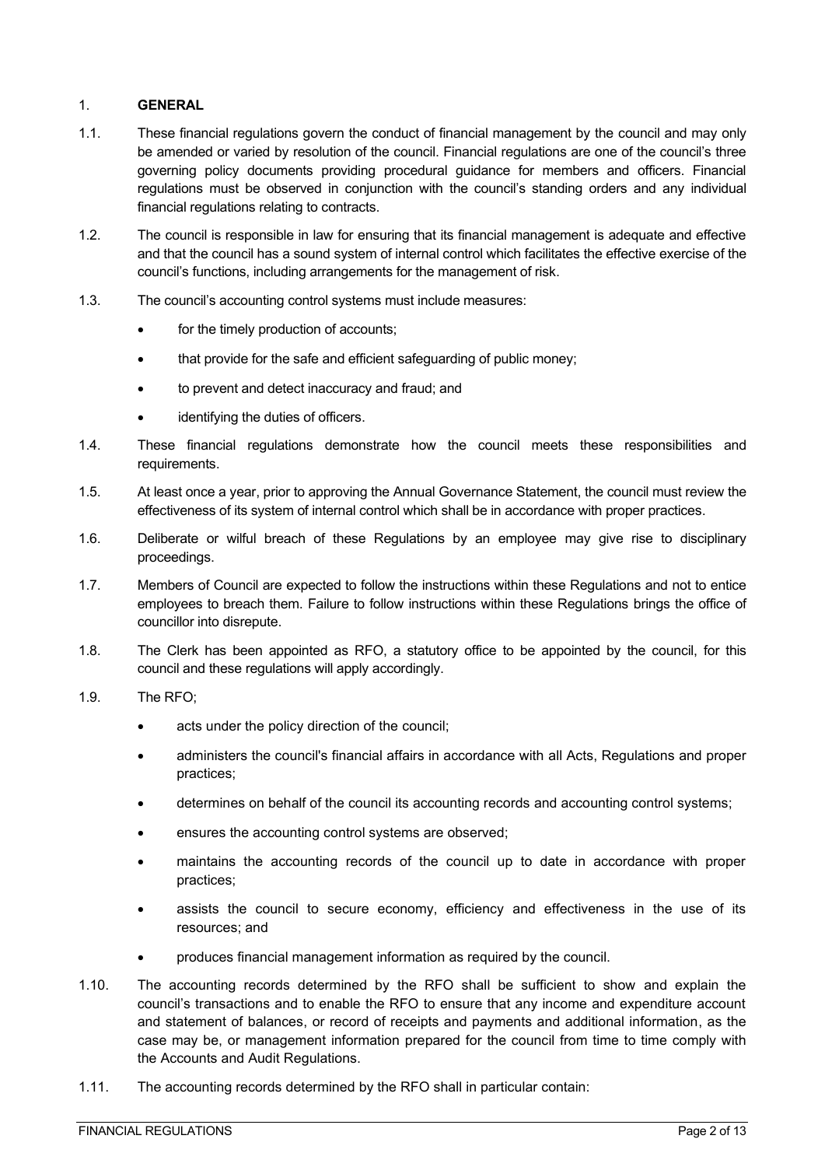#### <span id="page-1-0"></span>1. **GENERAL**

- 1.1. These financial regulations govern the conduct of financial management by the council and may only be amended or varied by resolution of the council. Financial regulations are one of the council's three governing policy documents providing procedural guidance for members and officers. Financial regulations must be observed in conjunction with the council's standing orders and any individual financial regulations relating to contracts.
- 1.2. The council is responsible in law for ensuring that its financial management is adequate and effective and that the council has a sound system of internal control which facilitates the effective exercise of the council's functions, including arrangements for the management of risk.
- 1.3. The council's accounting control systems must include measures:
	- for the timely production of accounts;
	- that provide for the safe and efficient safequarding of public money;
	- to prevent and detect inaccuracy and fraud; and
	- identifying the duties of officers.
- 1.4. These financial regulations demonstrate how the council meets these responsibilities and requirements.
- 1.5. At least once a year, prior to approving the Annual Governance Statement, the council must review the effectiveness of its system of internal control which shall be in accordance with proper practices.
- 1.6. Deliberate or wilful breach of these Regulations by an employee may give rise to disciplinary proceedings.
- 1.7. Members of Council are expected to follow the instructions within these Regulations and not to entice employees to breach them. Failure to follow instructions within these Regulations brings the office of councillor into disrepute.
- 1.8. The Clerk has been appointed as RFO, a statutory office to be appointed by the council, for this council and these regulations will apply accordingly.
- 1.9. The RFO;
	- acts under the policy direction of the council;
	- administers the council's financial affairs in accordance with all Acts, Regulations and proper practices;
	- determines on behalf of the council its accounting records and accounting control systems;
	- ensures the accounting control systems are observed;
	- maintains the accounting records of the council up to date in accordance with proper practices;
	- assists the council to secure economy, efficiency and effectiveness in the use of its resources; and
	- produces financial management information as required by the council.
- 1.10. The accounting records determined by the RFO shall be sufficient to show and explain the council's transactions and to enable the RFO to ensure that any income and expenditure account and statement of balances, or record of receipts and payments and additional information, as the case may be, or management information prepared for the council from time to time comply with the Accounts and Audit Regulations.
- 1.11. The accounting records determined by the RFO shall in particular contain: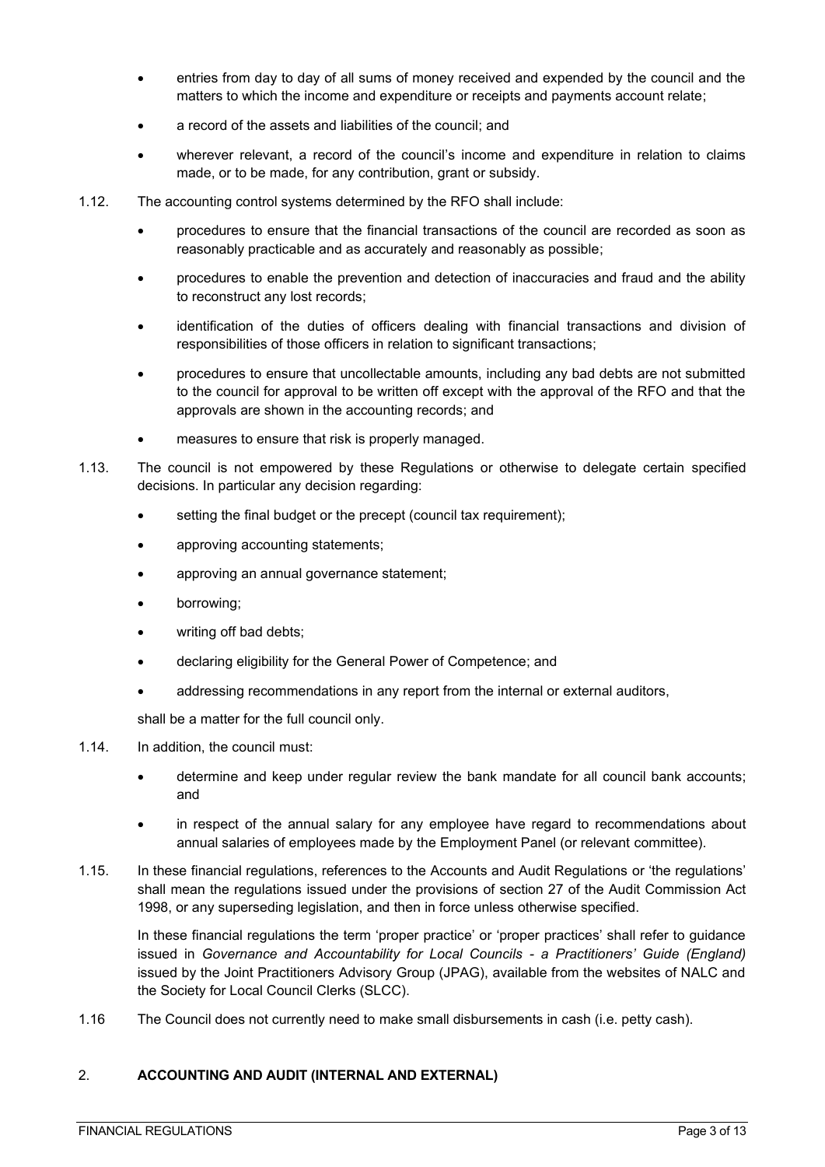- entries from day to day of all sums of money received and expended by the council and the matters to which the income and expenditure or receipts and payments account relate;
- a record of the assets and liabilities of the council; and
- wherever relevant, a record of the council's income and expenditure in relation to claims made, or to be made, for any contribution, grant or subsidy.
- 1.12. The accounting control systems determined by the RFO shall include:
	- procedures to ensure that the financial transactions of the council are recorded as soon as reasonably practicable and as accurately and reasonably as possible;
	- procedures to enable the prevention and detection of inaccuracies and fraud and the ability to reconstruct any lost records;
	- identification of the duties of officers dealing with financial transactions and division of responsibilities of those officers in relation to significant transactions;
	- procedures to ensure that uncollectable amounts, including any bad debts are not submitted to the council for approval to be written off except with the approval of the RFO and that the approvals are shown in the accounting records; and
	- measures to ensure that risk is properly managed.
- 1.13. The council is not empowered by these Regulations or otherwise to delegate certain specified decisions. In particular any decision regarding:
	- setting the final budget or the precept (council tax requirement);
	- approving accounting statements;
	- approving an annual governance statement;
	- borrowing;
	- writing off bad debts;
	- declaring eligibility for the General Power of Competence; and
	- addressing recommendations in any report from the internal or external auditors,

shall be a matter for the full council only.

- 1.14. In addition, the council must:
	- determine and keep under regular review the bank mandate for all council bank accounts; and
	- in respect of the annual salary for any employee have regard to recommendations about annual salaries of employees made by the Employment Panel (or relevant committee).
- 1.15. In these financial regulations, references to the Accounts and Audit Regulations or 'the regulations' shall mean the regulations issued under the provisions of section 27 of the Audit Commission Act 1998, or any superseding legislation, and then in force unless otherwise specified.

In these financial regulations the term 'proper practice' or 'proper practices' shall refer to guidance issued in *Governance and Accountability for Local Councils - a Practitioners' Guide (England)*  issued by the Joint Practitioners Advisory Group (JPAG), available from the websites of NALC and the Society for Local Council Clerks (SLCC).

1.16 The Council does not currently need to make small disbursements in cash (i.e. petty cash).

## <span id="page-2-0"></span>2. **ACCOUNTING AND AUDIT (INTERNAL AND EXTERNAL)**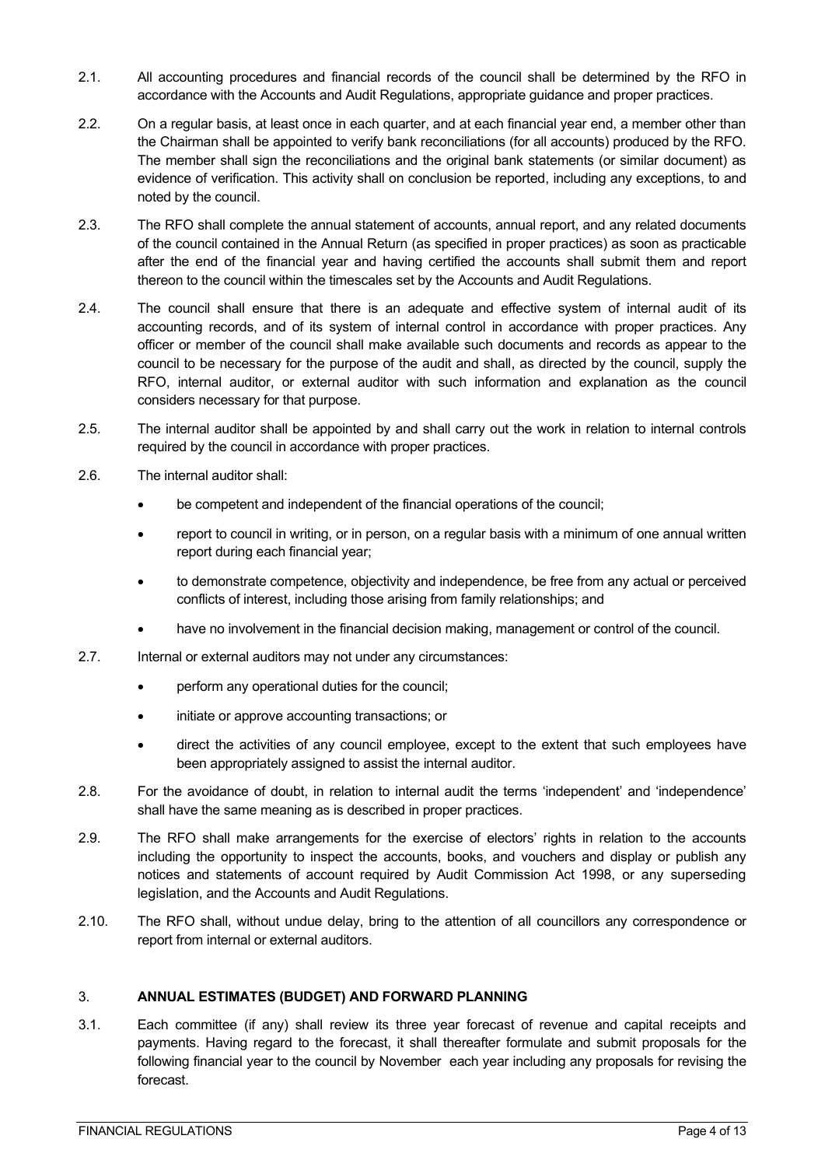- 2.1. All accounting procedures and financial records of the council shall be determined by the RFO in accordance with the Accounts and Audit Regulations, appropriate guidance and proper practices.
- 2.2. On a regular basis, at least once in each quarter, and at each financial year end, a member other than the Chairman shall be appointed to verify bank reconciliations (for all accounts) produced by the RFO. The member shall sign the reconciliations and the original bank statements (or similar document) as evidence of verification. This activity shall on conclusion be reported, including any exceptions, to and noted by the council.
- 2.3. The RFO shall complete the annual statement of accounts, annual report, and any related documents of the council contained in the Annual Return (as specified in proper practices) as soon as practicable after the end of the financial year and having certified the accounts shall submit them and report thereon to the council within the timescales set by the Accounts and Audit Regulations.
- 2.4. The council shall ensure that there is an adequate and effective system of internal audit of its accounting records, and of its system of internal control in accordance with proper practices. Any officer or member of the council shall make available such documents and records as appear to the council to be necessary for the purpose of the audit and shall, as directed by the council, supply the RFO, internal auditor, or external auditor with such information and explanation as the council considers necessary for that purpose.
- 2.5. The internal auditor shall be appointed by and shall carry out the work in relation to internal controls required by the council in accordance with proper practices.
- 2.6. The internal auditor shall:
	- be competent and independent of the financial operations of the council;
	- report to council in writing, or in person, on a regular basis with a minimum of one annual written report during each financial year;
	- to demonstrate competence, objectivity and independence, be free from any actual or perceived conflicts of interest, including those arising from family relationships; and
	- have no involvement in the financial decision making, management or control of the council.
- 2.7. Internal or external auditors may not under any circumstances:
	- perform any operational duties for the council;
	- initiate or approve accounting transactions; or
	- direct the activities of any council employee, except to the extent that such employees have been appropriately assigned to assist the internal auditor.
- 2.8. For the avoidance of doubt, in relation to internal audit the terms 'independent' and 'independence' shall have the same meaning as is described in proper practices.
- 2.9. The RFO shall make arrangements for the exercise of electors' rights in relation to the accounts including the opportunity to inspect the accounts, books, and vouchers and display or publish any notices and statements of account required by Audit Commission Act 1998, or any superseding legislation, and the Accounts and Audit Regulations.
- 2.10. The RFO shall, without undue delay, bring to the attention of all councillors any correspondence or report from internal or external auditors.

#### <span id="page-3-0"></span>3. **ANNUAL ESTIMATES (BUDGET) AND FORWARD PLANNING**

3.1. Each committee (if any) shall review its three year forecast of revenue and capital receipts and payments. Having regard to the forecast, it shall thereafter formulate and submit proposals for the following financial year to the council by November each year including any proposals for revising the forecast.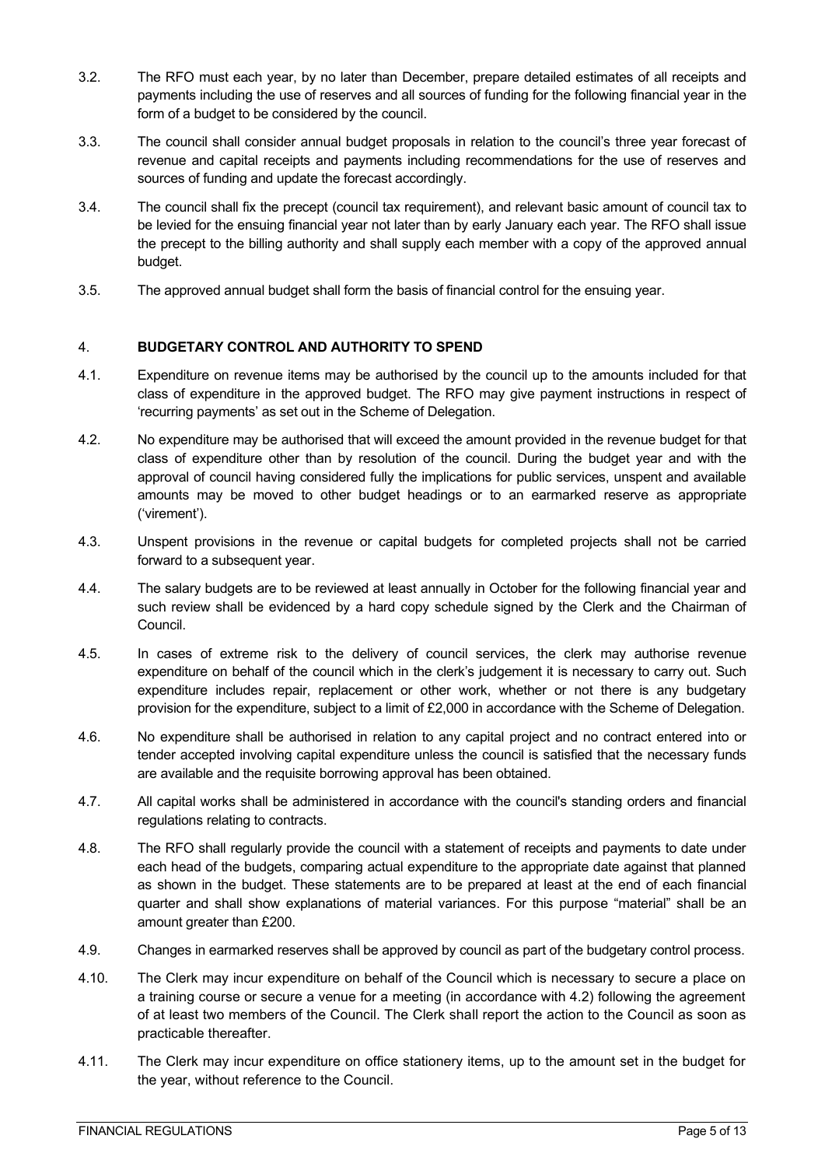- 3.2. The RFO must each year, by no later than December, prepare detailed estimates of all receipts and payments including the use of reserves and all sources of funding for the following financial year in the form of a budget to be considered by the council.
- 3.3. The council shall consider annual budget proposals in relation to the council's three year forecast of revenue and capital receipts and payments including recommendations for the use of reserves and sources of funding and update the forecast accordingly.
- 3.4. The council shall fix the precept (council tax requirement), and relevant basic amount of council tax to be levied for the ensuing financial year not later than by early January each year. The RFO shall issue the precept to the billing authority and shall supply each member with a copy of the approved annual budget.
- 3.5. The approved annual budget shall form the basis of financial control for the ensuing year.

## <span id="page-4-0"></span>4. **BUDGETARY CONTROL AND AUTHORITY TO SPEND**

- 4.1. Expenditure on revenue items may be authorised by the council up to the amounts included for that class of expenditure in the approved budget. The RFO may give payment instructions in respect of 'recurring payments' as set out in the Scheme of Delegation.
- 4.2. No expenditure may be authorised that will exceed the amount provided in the revenue budget for that class of expenditure other than by resolution of the council. During the budget year and with the approval of council having considered fully the implications for public services, unspent and available amounts may be moved to other budget headings or to an earmarked reserve as appropriate ('virement').
- 4.3. Unspent provisions in the revenue or capital budgets for completed projects shall not be carried forward to a subsequent year.
- 4.4. The salary budgets are to be reviewed at least annually in October for the following financial year and such review shall be evidenced by a hard copy schedule signed by the Clerk and the Chairman of Council.
- 4.5. In cases of extreme risk to the delivery of council services, the clerk may authorise revenue expenditure on behalf of the council which in the clerk's judgement it is necessary to carry out. Such expenditure includes repair, replacement or other work, whether or not there is any budgetary provision for the expenditure, subject to a limit of £2,000 in accordance with the Scheme of Delegation.
- 4.6. No expenditure shall be authorised in relation to any capital project and no contract entered into or tender accepted involving capital expenditure unless the council is satisfied that the necessary funds are available and the requisite borrowing approval has been obtained.
- 4.7. All capital works shall be administered in accordance with the council's standing orders and financial regulations relating to contracts.
- 4.8. The RFO shall regularly provide the council with a statement of receipts and payments to date under each head of the budgets, comparing actual expenditure to the appropriate date against that planned as shown in the budget. These statements are to be prepared at least at the end of each financial quarter and shall show explanations of material variances. For this purpose "material" shall be an amount greater than £200.
- 4.9. Changes in earmarked reserves shall be approved by council as part of the budgetary control process.
- 4.10. The Clerk may incur expenditure on behalf of the Council which is necessary to secure a place on a training course or secure a venue for a meeting (in accordance with 4.2) following the agreement of at least two members of the Council. The Clerk shall report the action to the Council as soon as practicable thereafter.
- 4.11. The Clerk may incur expenditure on office stationery items, up to the amount set in the budget for the year, without reference to the Council.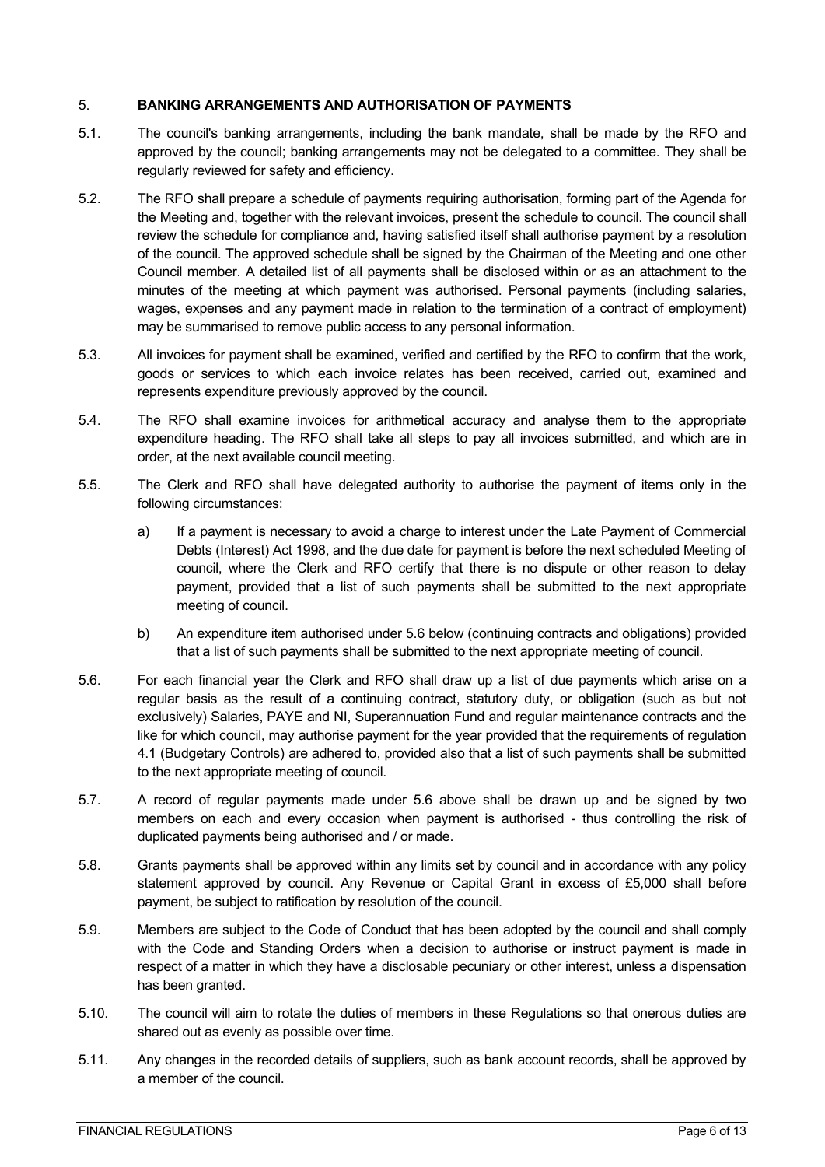#### <span id="page-5-0"></span>5. **BANKING ARRANGEMENTS AND AUTHORISATION OF PAYMENTS**

- 5.1. The council's banking arrangements, including the bank mandate, shall be made by the RFO and approved by the council; banking arrangements may not be delegated to a committee. They shall be regularly reviewed for safety and efficiency.
- 5.2. The RFO shall prepare a schedule of payments requiring authorisation, forming part of the Agenda for the Meeting and, together with the relevant invoices, present the schedule to council. The council shall review the schedule for compliance and, having satisfied itself shall authorise payment by a resolution of the council. The approved schedule shall be signed by the Chairman of the Meeting and one other Council member. A detailed list of all payments shall be disclosed within or as an attachment to the minutes of the meeting at which payment was authorised. Personal payments (including salaries, wages, expenses and any payment made in relation to the termination of a contract of employment) may be summarised to remove public access to any personal information.
- 5.3. All invoices for payment shall be examined, verified and certified by the RFO to confirm that the work, goods or services to which each invoice relates has been received, carried out, examined and represents expenditure previously approved by the council.
- 5.4. The RFO shall examine invoices for arithmetical accuracy and analyse them to the appropriate expenditure heading. The RFO shall take all steps to pay all invoices submitted, and which are in order, at the next available council meeting.
- 5.5. The Clerk and RFO shall have delegated authority to authorise the payment of items only in the following circumstances:
	- a) If a payment is necessary to avoid a charge to interest under the Late Payment of Commercial Debts (Interest) Act 1998, and the due date for payment is before the next scheduled Meeting of council, where the Clerk and RFO certify that there is no dispute or other reason to delay payment, provided that a list of such payments shall be submitted to the next appropriate meeting of council.
	- b) An expenditure item authorised under 5.6 below (continuing contracts and obligations) provided that a list of such payments shall be submitted to the next appropriate meeting of council.
- 5.6. For each financial year the Clerk and RFO shall draw up a list of due payments which arise on a regular basis as the result of a continuing contract, statutory duty, or obligation (such as but not exclusively) Salaries, PAYE and NI, Superannuation Fund and regular maintenance contracts and the like for which council, may authorise payment for the year provided that the requirements of regulation 4.1 (Budgetary Controls) are adhered to, provided also that a list of such payments shall be submitted to the next appropriate meeting of council.
- 5.7. A record of regular payments made under 5.6 above shall be drawn up and be signed by two members on each and every occasion when payment is authorised - thus controlling the risk of duplicated payments being authorised and / or made.
- 5.8. Grants payments shall be approved within any limits set by council and in accordance with any policy statement approved by council. Any Revenue or Capital Grant in excess of £5,000 shall before payment, be subject to ratification by resolution of the council.
- 5.9. Members are subject to the Code of Conduct that has been adopted by the council and shall comply with the Code and Standing Orders when a decision to authorise or instruct payment is made in respect of a matter in which they have a disclosable pecuniary or other interest, unless a dispensation has been granted.
- 5.10. The council will aim to rotate the duties of members in these Regulations so that onerous duties are shared out as evenly as possible over time.
- 5.11. Any changes in the recorded details of suppliers, such as bank account records, shall be approved by a member of the council.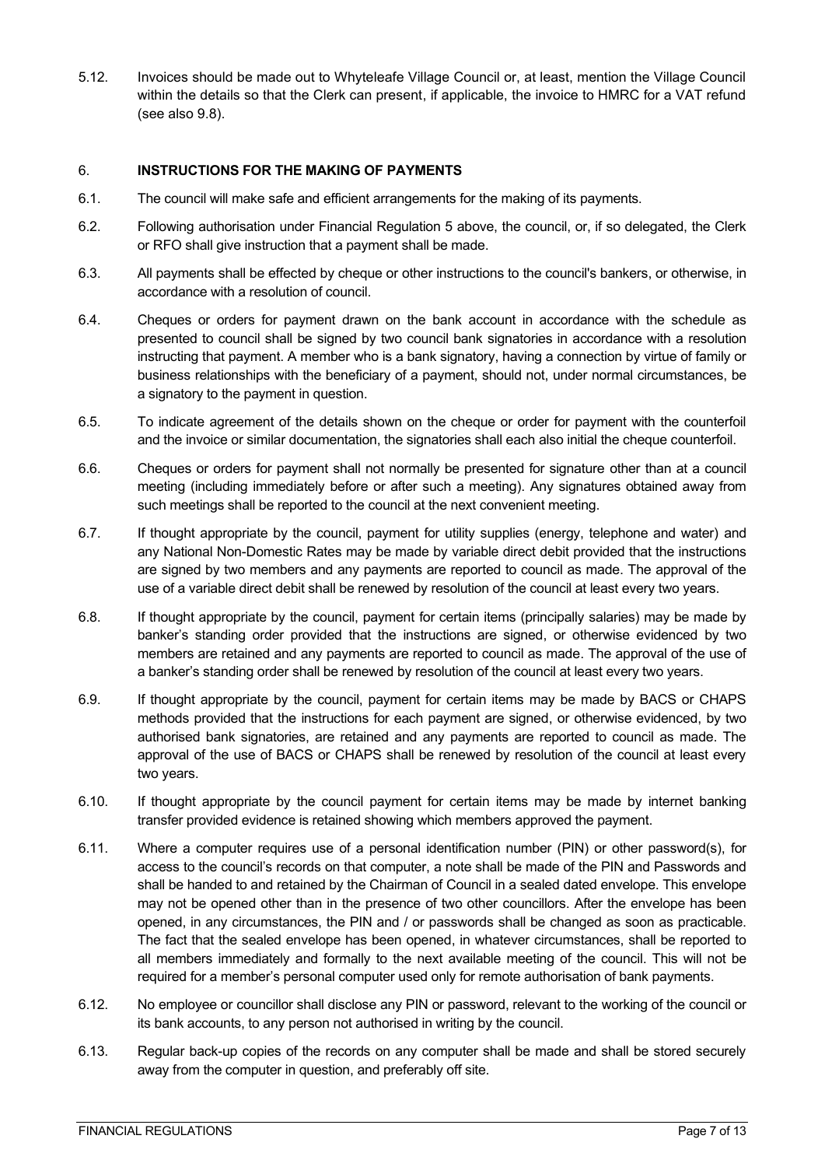5.12. Invoices should be made out to Whyteleafe Village Council or, at least, mention the Village Council within the details so that the Clerk can present, if applicable, the invoice to HMRC for a VAT refund (see also 9.8).

#### <span id="page-6-0"></span>6. **INSTRUCTIONS FOR THE MAKING OF PAYMENTS**

- 6.1. The council will make safe and efficient arrangements for the making of its payments.
- 6.2. Following authorisation under Financial Regulation 5 above, the council, or, if so delegated, the Clerk or RFO shall give instruction that a payment shall be made.
- 6.3. All payments shall be effected by cheque or other instructions to the council's bankers, or otherwise, in accordance with a resolution of council.
- 6.4. Cheques or orders for payment drawn on the bank account in accordance with the schedule as presented to council shall be signed by two council bank signatories in accordance with a resolution instructing that payment. A member who is a bank signatory, having a connection by virtue of family or business relationships with the beneficiary of a payment, should not, under normal circumstances, be a signatory to the payment in question.
- 6.5. To indicate agreement of the details shown on the cheque or order for payment with the counterfoil and the invoice or similar documentation, the signatories shall each also initial the cheque counterfoil.
- 6.6. Cheques or orders for payment shall not normally be presented for signature other than at a council meeting (including immediately before or after such a meeting). Any signatures obtained away from such meetings shall be reported to the council at the next convenient meeting.
- 6.7. If thought appropriate by the council, payment for utility supplies (energy, telephone and water) and any National Non-Domestic Rates may be made by variable direct debit provided that the instructions are signed by two members and any payments are reported to council as made. The approval of the use of a variable direct debit shall be renewed by resolution of the council at least every two years.
- 6.8. If thought appropriate by the council, payment for certain items (principally salaries) may be made by banker's standing order provided that the instructions are signed, or otherwise evidenced by two members are retained and any payments are reported to council as made. The approval of the use of a banker's standing order shall be renewed by resolution of the council at least every two years.
- 6.9. If thought appropriate by the council, payment for certain items may be made by BACS or CHAPS methods provided that the instructions for each payment are signed, or otherwise evidenced, by two authorised bank signatories, are retained and any payments are reported to council as made. The approval of the use of BACS or CHAPS shall be renewed by resolution of the council at least every two years.
- 6.10. If thought appropriate by the council payment for certain items may be made by internet banking transfer provided evidence is retained showing which members approved the payment.
- 6.11. Where a computer requires use of a personal identification number (PIN) or other password(s), for access to the council's records on that computer, a note shall be made of the PIN and Passwords and shall be handed to and retained by the Chairman of Council in a sealed dated envelope. This envelope may not be opened other than in the presence of two other councillors. After the envelope has been opened, in any circumstances, the PIN and / or passwords shall be changed as soon as practicable. The fact that the sealed envelope has been opened, in whatever circumstances, shall be reported to all members immediately and formally to the next available meeting of the council. This will not be required for a member's personal computer used only for remote authorisation of bank payments.
- 6.12. No employee or councillor shall disclose any PIN or password, relevant to the working of the council or its bank accounts, to any person not authorised in writing by the council.
- 6.13. Regular back-up copies of the records on any computer shall be made and shall be stored securely away from the computer in question, and preferably off site.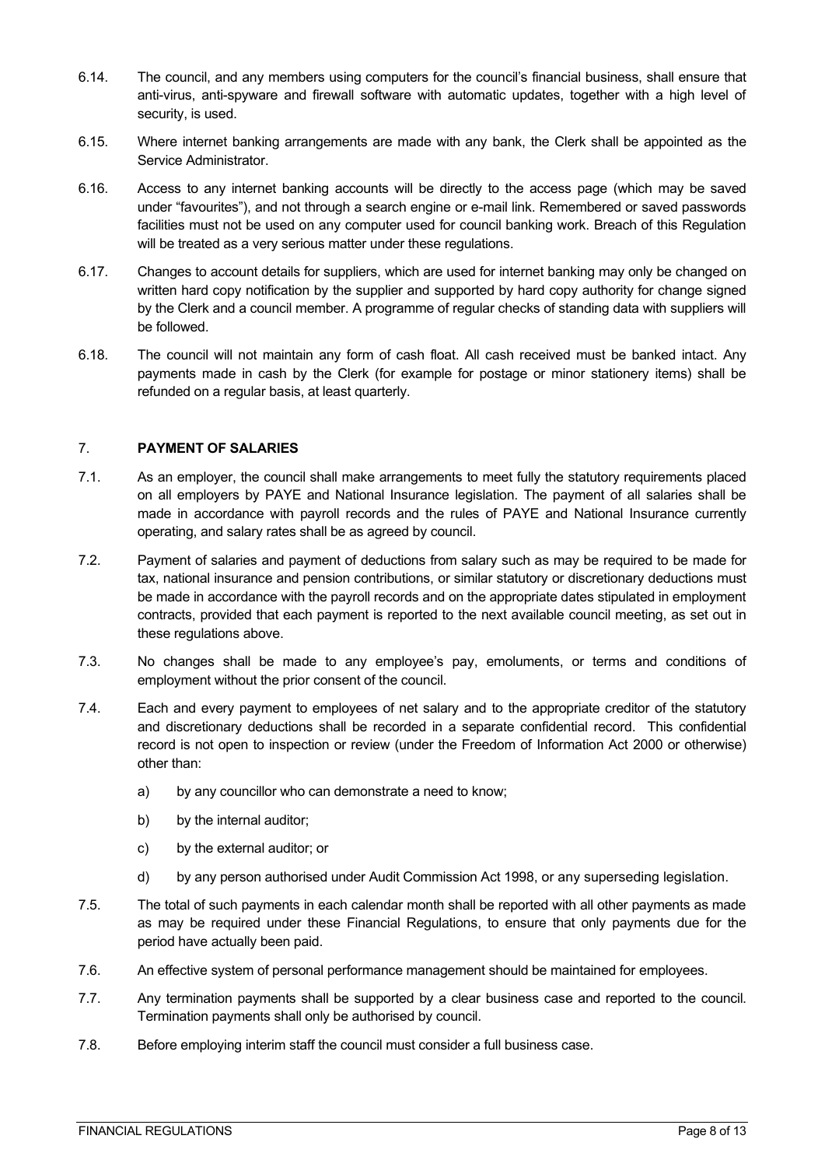- 6.14. The council, and any members using computers for the council's financial business, shall ensure that anti-virus, anti-spyware and firewall software with automatic updates, together with a high level of security, is used.
- 6.15. Where internet banking arrangements are made with any bank, the Clerk shall be appointed as the Service Administrator.
- 6.16. Access to any internet banking accounts will be directly to the access page (which may be saved under "favourites"), and not through a search engine or e-mail link. Remembered or saved passwords facilities must not be used on any computer used for council banking work. Breach of this Regulation will be treated as a very serious matter under these regulations.
- 6.17. Changes to account details for suppliers, which are used for internet banking may only be changed on written hard copy notification by the supplier and supported by hard copy authority for change signed by the Clerk and a council member. A programme of regular checks of standing data with suppliers will be followed.
- 6.18. The council will not maintain any form of cash float. All cash received must be banked intact. Any payments made in cash by the Clerk (for example for postage or minor stationery items) shall be refunded on a regular basis, at least quarterly.

#### <span id="page-7-0"></span>7. **PAYMENT OF SALARIES**

- 7.1. As an employer, the council shall make arrangements to meet fully the statutory requirements placed on all employers by PAYE and National Insurance legislation. The payment of all salaries shall be made in accordance with payroll records and the rules of PAYE and National Insurance currently operating, and salary rates shall be as agreed by council.
- 7.2. Payment of salaries and payment of deductions from salary such as may be required to be made for tax, national insurance and pension contributions, or similar statutory or discretionary deductions must be made in accordance with the payroll records and on the appropriate dates stipulated in employment contracts, provided that each payment is reported to the next available council meeting, as set out in these regulations above.
- 7.3. No changes shall be made to any employee's pay, emoluments, or terms and conditions of employment without the prior consent of the council.
- 7.4. Each and every payment to employees of net salary and to the appropriate creditor of the statutory and discretionary deductions shall be recorded in a separate confidential record. This confidential record is not open to inspection or review (under the Freedom of Information Act 2000 or otherwise) other than:
	- a) by any councillor who can demonstrate a need to know;
	- b) by the internal auditor;
	- c) by the external auditor; or
	- d) by any person authorised under Audit Commission Act 1998, or any superseding legislation.
- 7.5. The total of such payments in each calendar month shall be reported with all other payments as made as may be required under these Financial Regulations, to ensure that only payments due for the period have actually been paid.
- 7.6. An effective system of personal performance management should be maintained for employees.
- 7.7. Any termination payments shall be supported by a clear business case and reported to the council. Termination payments shall only be authorised by council.
- 7.8. Before employing interim staff the council must consider a full business case.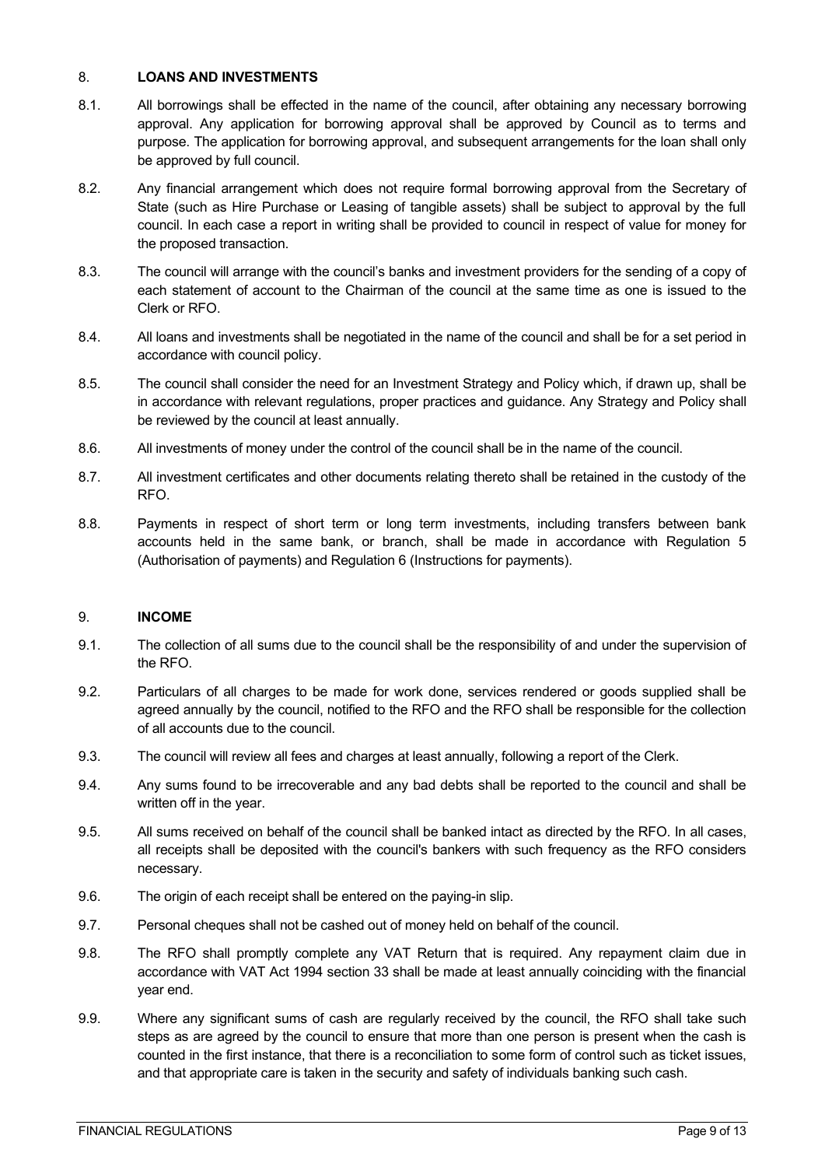#### <span id="page-8-0"></span>8. **LOANS AND INVESTMENTS**

- 8.1. All borrowings shall be effected in the name of the council, after obtaining any necessary borrowing approval. Any application for borrowing approval shall be approved by Council as to terms and purpose. The application for borrowing approval, and subsequent arrangements for the loan shall only be approved by full council.
- 8.2. Any financial arrangement which does not require formal borrowing approval from the Secretary of State (such as Hire Purchase or Leasing of tangible assets) shall be subject to approval by the full council. In each case a report in writing shall be provided to council in respect of value for money for the proposed transaction.
- 8.3. The council will arrange with the council's banks and investment providers for the sending of a copy of each statement of account to the Chairman of the council at the same time as one is issued to the Clerk or RFO.
- 8.4. All loans and investments shall be negotiated in the name of the council and shall be for a set period in accordance with council policy.
- 8.5. The council shall consider the need for an Investment Strategy and Policy which, if drawn up, shall be in accordance with relevant regulations, proper practices and guidance. Any Strategy and Policy shall be reviewed by the council at least annually.
- 8.6. All investments of money under the control of the council shall be in the name of the council.
- 8.7. All investment certificates and other documents relating thereto shall be retained in the custody of the RFO.
- 8.8. Payments in respect of short term or long term investments, including transfers between bank accounts held in the same bank, or branch, shall be made in accordance with Regulation 5 (Authorisation of payments) and Regulation 6 (Instructions for payments).

#### <span id="page-8-1"></span>9. **INCOME**

- 9.1. The collection of all sums due to the council shall be the responsibility of and under the supervision of the RFO.
- 9.2. Particulars of all charges to be made for work done, services rendered or goods supplied shall be agreed annually by the council, notified to the RFO and the RFO shall be responsible for the collection of all accounts due to the council.
- 9.3. The council will review all fees and charges at least annually, following a report of the Clerk.
- 9.4. Any sums found to be irrecoverable and any bad debts shall be reported to the council and shall be written off in the year.
- 9.5. All sums received on behalf of the council shall be banked intact as directed by the RFO. In all cases, all receipts shall be deposited with the council's bankers with such frequency as the RFO considers necessary.
- 9.6. The origin of each receipt shall be entered on the paying-in slip.
- 9.7. Personal cheques shall not be cashed out of money held on behalf of the council.
- 9.8. The RFO shall promptly complete any VAT Return that is required. Any repayment claim due in accordance with VAT Act 1994 section 33 shall be made at least annually coinciding with the financial year end.
- 9.9. Where any significant sums of cash are regularly received by the council, the RFO shall take such steps as are agreed by the council to ensure that more than one person is present when the cash is counted in the first instance, that there is a reconciliation to some form of control such as ticket issues, and that appropriate care is taken in the security and safety of individuals banking such cash.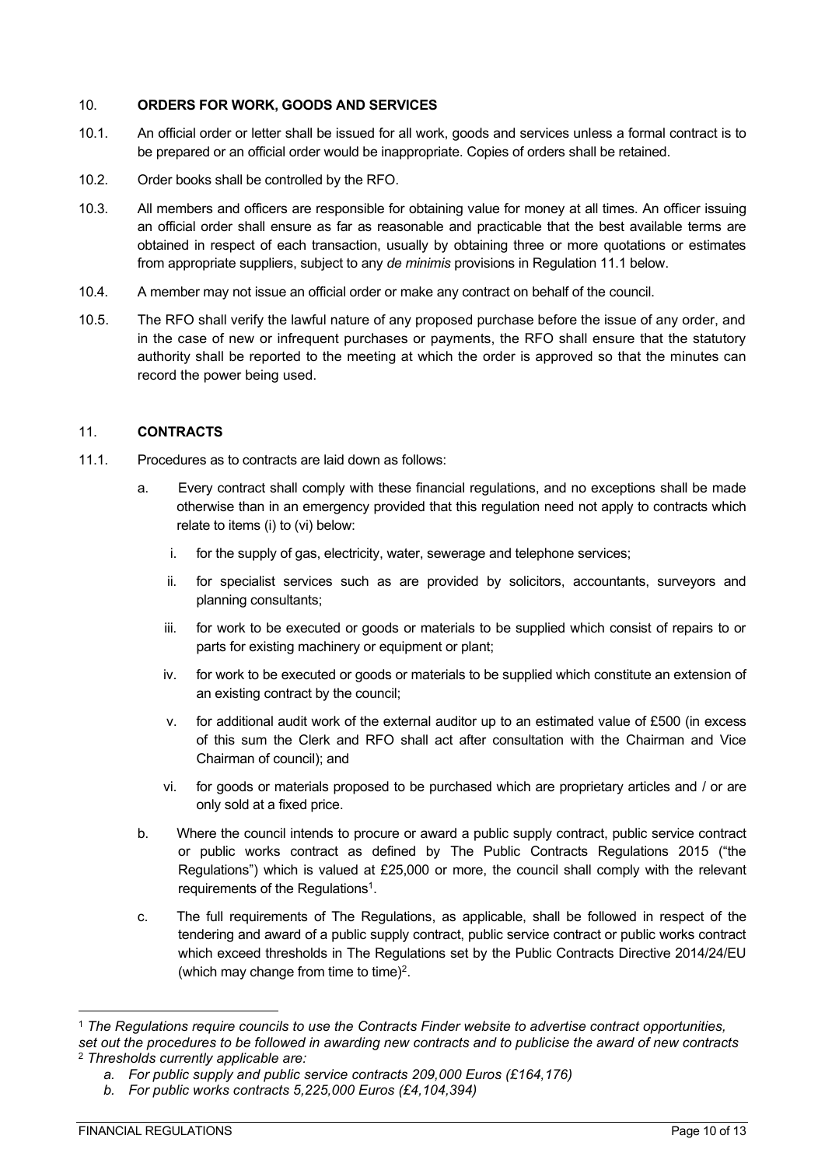#### <span id="page-9-0"></span>10. **ORDERS FOR WORK, GOODS AND SERVICES**

- 10.1. An official order or letter shall be issued for all work, goods and services unless a formal contract is to be prepared or an official order would be inappropriate. Copies of orders shall be retained.
- 10.2. Order books shall be controlled by the RFO.
- 10.3. All members and officers are responsible for obtaining value for money at all times. An officer issuing an official order shall ensure as far as reasonable and practicable that the best available terms are obtained in respect of each transaction, usually by obtaining three or more quotations or estimates from appropriate suppliers, subject to any *de minimis* provisions in Regulation 11.1 below.
- 10.4. A member may not issue an official order or make any contract on behalf of the council.
- 10.5. The RFO shall verify the lawful nature of any proposed purchase before the issue of any order, and in the case of new or infrequent purchases or payments, the RFO shall ensure that the statutory authority shall be reported to the meeting at which the order is approved so that the minutes can record the power being used.

#### <span id="page-9-1"></span>11. **CONTRACTS**

- 11.1. Procedures as to contracts are laid down as follows:
	- a. Every contract shall comply with these financial regulations, and no exceptions shall be made otherwise than in an emergency provided that this regulation need not apply to contracts which relate to items (i) to (vi) below:
		- i. for the supply of gas, electricity, water, sewerage and telephone services;
		- ii. for specialist services such as are provided by solicitors, accountants, surveyors and planning consultants;
		- iii. for work to be executed or goods or materials to be supplied which consist of repairs to or parts for existing machinery or equipment or plant;
		- iv. for work to be executed or goods or materials to be supplied which constitute an extension of an existing contract by the council;
		- v. for additional audit work of the external auditor up to an estimated value of £500 (in excess of this sum the Clerk and RFO shall act after consultation with the Chairman and Vice Chairman of council); and
		- vi. for goods or materials proposed to be purchased which are proprietary articles and / or are only sold at a fixed price.
	- b. Where the council intends to procure or award a public supply contract, public service contract or public works contract as defined by The Public Contracts Regulations 2015 ("the Regulations") which is valued at £25,000 or more, the council shall comply with the relevant requirements of the Regulations<sup>1</sup>.
	- c. The full requirements of The Regulations, as applicable, shall be followed in respect of the tendering and award of a public supply contract, public service contract or public works contract which exceed thresholds in The Regulations set by the Public Contracts Directive 2014/24/EU (which may change from time to time) $^2$ .

<sup>1</sup> *The Regulations require councils to use the Contracts Finder website to advertise contract opportunities, set out the procedures to be followed in awarding new contracts and to publicise the award of new contracts*

<sup>2</sup> *Thresholds currently applicable are:*

*a. For public supply and public service contracts 209,000 Euros (£164,176)*

*b. For public works contracts 5,225,000 Euros (£4,104,394)*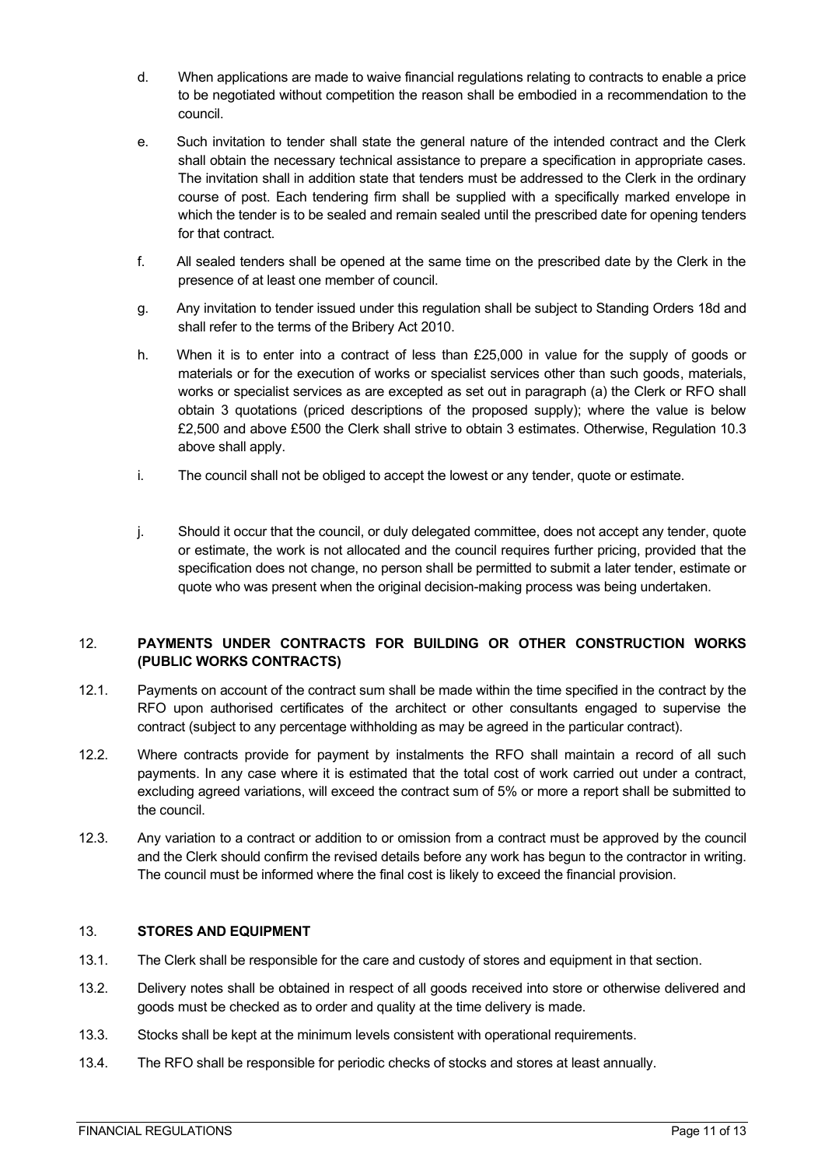- d. When applications are made to waive financial regulations relating to contracts to enable a price to be negotiated without competition the reason shall be embodied in a recommendation to the council.
- e. Such invitation to tender shall state the general nature of the intended contract and the Clerk shall obtain the necessary technical assistance to prepare a specification in appropriate cases. The invitation shall in addition state that tenders must be addressed to the Clerk in the ordinary course of post. Each tendering firm shall be supplied with a specifically marked envelope in which the tender is to be sealed and remain sealed until the prescribed date for opening tenders for that contract.
- f. All sealed tenders shall be opened at the same time on the prescribed date by the Clerk in the presence of at least one member of council.
- g. Any invitation to tender issued under this regulation shall be subject to Standing Orders 18d and shall refer to the terms of the Bribery Act 2010.
- h. When it is to enter into a contract of less than £25,000 in value for the supply of goods or materials or for the execution of works or specialist services other than such goods, materials, works or specialist services as are excepted as set out in paragraph (a) the Clerk or RFO shall obtain 3 quotations (priced descriptions of the proposed supply); where the value is below £2,500 and above £500 the Clerk shall strive to obtain 3 estimates. Otherwise, Regulation 10.3 above shall apply.
- i. The council shall not be obliged to accept the lowest or any tender, quote or estimate.
- j. Should it occur that the council, or duly delegated committee, does not accept any tender, quote or estimate, the work is not allocated and the council requires further pricing, provided that the specification does not change, no person shall be permitted to submit a later tender, estimate or quote who was present when the original decision-making process was being undertaken.

## <span id="page-10-0"></span>12. **PAYMENTS UNDER CONTRACTS FOR BUILDING OR OTHER CONSTRUCTION WORKS (PUBLIC WORKS CONTRACTS)**

- 12.1. Payments on account of the contract sum shall be made within the time specified in the contract by the RFO upon authorised certificates of the architect or other consultants engaged to supervise the contract (subject to any percentage withholding as may be agreed in the particular contract).
- 12.2. Where contracts provide for payment by instalments the RFO shall maintain a record of all such payments. In any case where it is estimated that the total cost of work carried out under a contract, excluding agreed variations, will exceed the contract sum of 5% or more a report shall be submitted to the council.
- 12.3. Any variation to a contract or addition to or omission from a contract must be approved by the council and the Clerk should confirm the revised details before any work has begun to the contractor in writing. The council must be informed where the final cost is likely to exceed the financial provision.

#### <span id="page-10-1"></span>13. **STORES AND EQUIPMENT**

- 13.1. The Clerk shall be responsible for the care and custody of stores and equipment in that section.
- 13.2. Delivery notes shall be obtained in respect of all goods received into store or otherwise delivered and goods must be checked as to order and quality at the time delivery is made.
- 13.3. Stocks shall be kept at the minimum levels consistent with operational requirements.
- 13.4. The RFO shall be responsible for periodic checks of stocks and stores at least annually.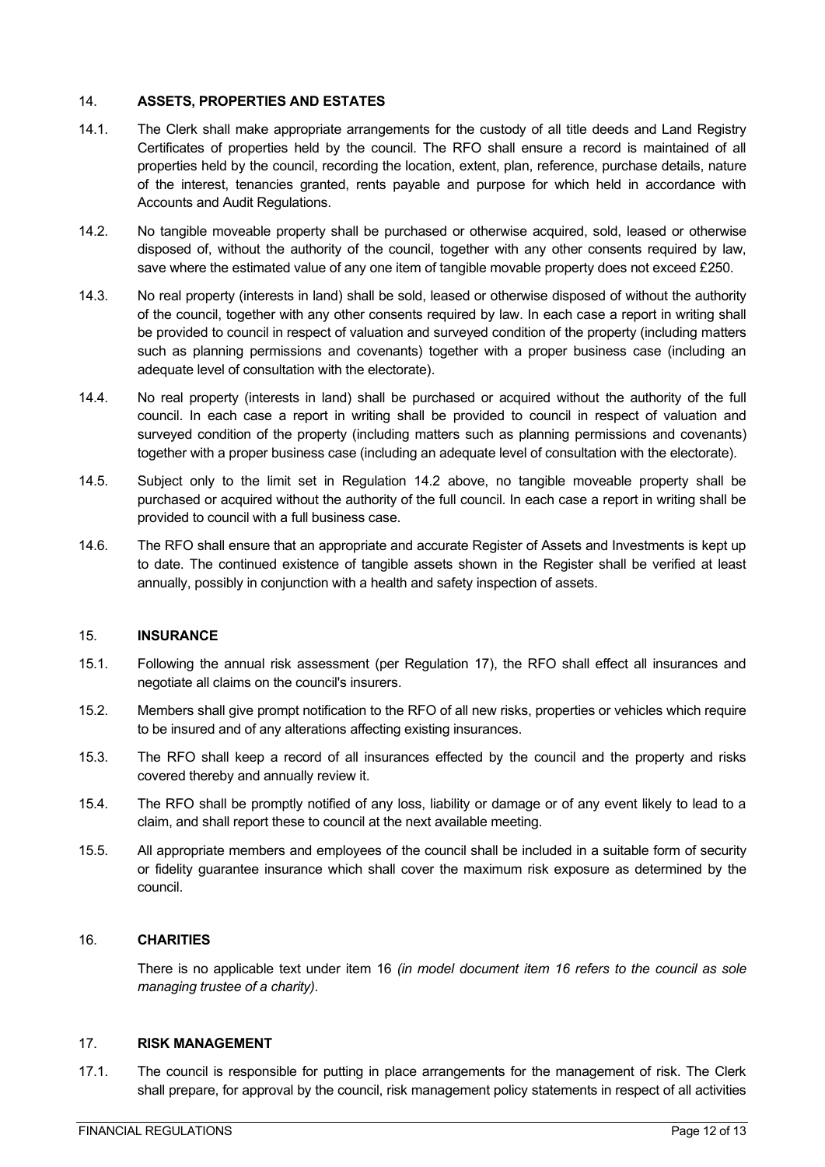#### <span id="page-11-0"></span>14. **ASSETS, PROPERTIES AND ESTATES**

- 14.1. The Clerk shall make appropriate arrangements for the custody of all title deeds and Land Registry Certificates of properties held by the council. The RFO shall ensure a record is maintained of all properties held by the council, recording the location, extent, plan, reference, purchase details, nature of the interest, tenancies granted, rents payable and purpose for which held in accordance with Accounts and Audit Regulations.
- 14.2. No tangible moveable property shall be purchased or otherwise acquired, sold, leased or otherwise disposed of, without the authority of the council, together with any other consents required by law, save where the estimated value of any one item of tangible movable property does not exceed £250.
- 14.3. No real property (interests in land) shall be sold, leased or otherwise disposed of without the authority of the council, together with any other consents required by law. In each case a report in writing shall be provided to council in respect of valuation and surveyed condition of the property (including matters such as planning permissions and covenants) together with a proper business case (including an adequate level of consultation with the electorate).
- 14.4. No real property (interests in land) shall be purchased or acquired without the authority of the full council. In each case a report in writing shall be provided to council in respect of valuation and surveyed condition of the property (including matters such as planning permissions and covenants) together with a proper business case (including an adequate level of consultation with the electorate).
- 14.5. Subject only to the limit set in Regulation 14.2 above, no tangible moveable property shall be purchased or acquired without the authority of the full council. In each case a report in writing shall be provided to council with a full business case.
- 14.6. The RFO shall ensure that an appropriate and accurate Register of Assets and Investments is kept up to date. The continued existence of tangible assets shown in the Register shall be verified at least annually, possibly in conjunction with a health and safety inspection of assets.

#### <span id="page-11-1"></span>15. **INSURANCE**

- 15.1. Following the annual risk assessment (per Regulation 17), the RFO shall effect all insurances and negotiate all claims on the council's insurers.
- 15.2. Members shall give prompt notification to the RFO of all new risks, properties or vehicles which require to be insured and of any alterations affecting existing insurances.
- 15.3. The RFO shall keep a record of all insurances effected by the council and the property and risks covered thereby and annually review it.
- 15.4. The RFO shall be promptly notified of any loss, liability or damage or of any event likely to lead to a claim, and shall report these to council at the next available meeting.
- 15.5. All appropriate members and employees of the council shall be included in a suitable form of security or fidelity guarantee insurance which shall cover the maximum risk exposure as determined by the council.

#### 16. **CHARITIES**

There is no applicable text under item 16 *(in model document item 16 refers to the council as sole managing trustee of a charity).*

#### <span id="page-11-2"></span>17. **RISK MANAGEMENT**

17.1. The council is responsible for putting in place arrangements for the management of risk. The Clerk shall prepare, for approval by the council, risk management policy statements in respect of all activities